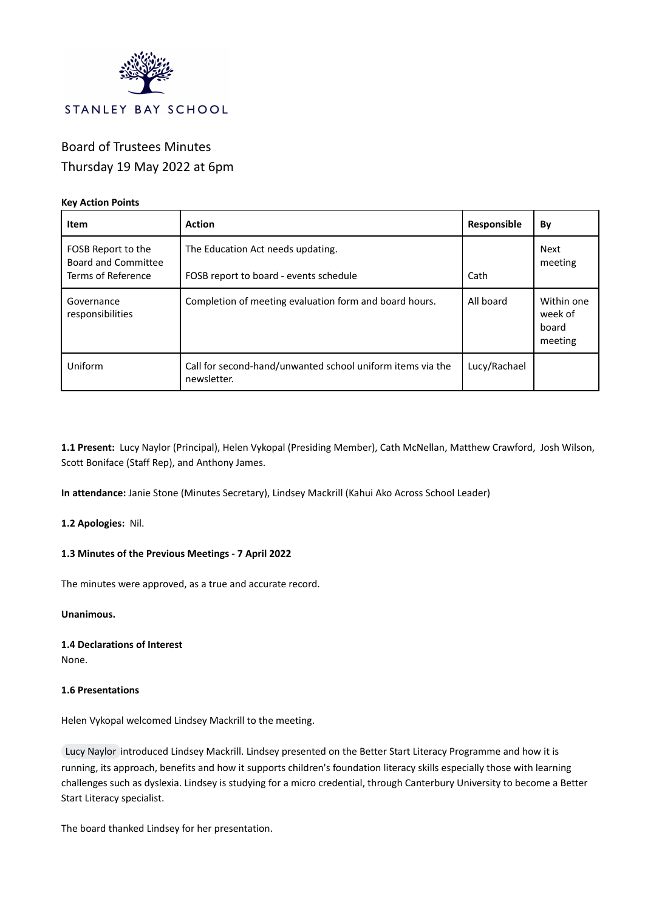

# Board of Trustees Minutes Thursday 19 May 2022 at 6pm

## **Key Action Points**

| <b>Item</b>                                                     | <b>Action</b>                                                               | Responsible  | By                                        |
|-----------------------------------------------------------------|-----------------------------------------------------------------------------|--------------|-------------------------------------------|
| FOSB Report to the<br>Board and Committee<br>Terms of Reference | The Education Act needs updating.<br>FOSB report to board - events schedule | Cath         | Next<br>meeting                           |
| Governance<br>responsibilities                                  | Completion of meeting evaluation form and board hours.                      | All board    | Within one<br>week of<br>board<br>meeting |
| Uniform                                                         | Call for second-hand/unwanted school uniform items via the<br>newsletter.   | Lucy/Rachael |                                           |

**1.1 Present:** Lucy Naylor (Principal), Helen Vykopal (Presiding Member), Cath McNellan, Matthew Crawford, Josh Wilson, Scott Boniface (Staff Rep), and Anthony James.

**In attendance:** Janie Stone (Minutes Secretary), Lindsey Mackrill (Kahui Ako Across School Leader)

**1.2 Apologies:** Nil.

## **1.3 Minutes of the Previous Meetings - 7 April 2022**

The minutes were approved, as a true and accurate record.

**Unanimous.**

**1.4 Declarations of Interest** None.

#### **1.6 Presentations**

Helen Vykopal welcomed Lindsey Mackrill to the meeting.

Lucy [Naylor](mailto:lnaylor@stanleybay.school.nz) introduced Lindsey Mackrill. Lindsey presented on the Better Start Literacy Programme and how it is running, its approach, benefits and how it supports children's foundation literacy skills especially those with learning challenges such as dyslexia. Lindsey is studying for a micro credential, through Canterbury University to become a Better Start Literacy specialist.

The board thanked Lindsey for her presentation.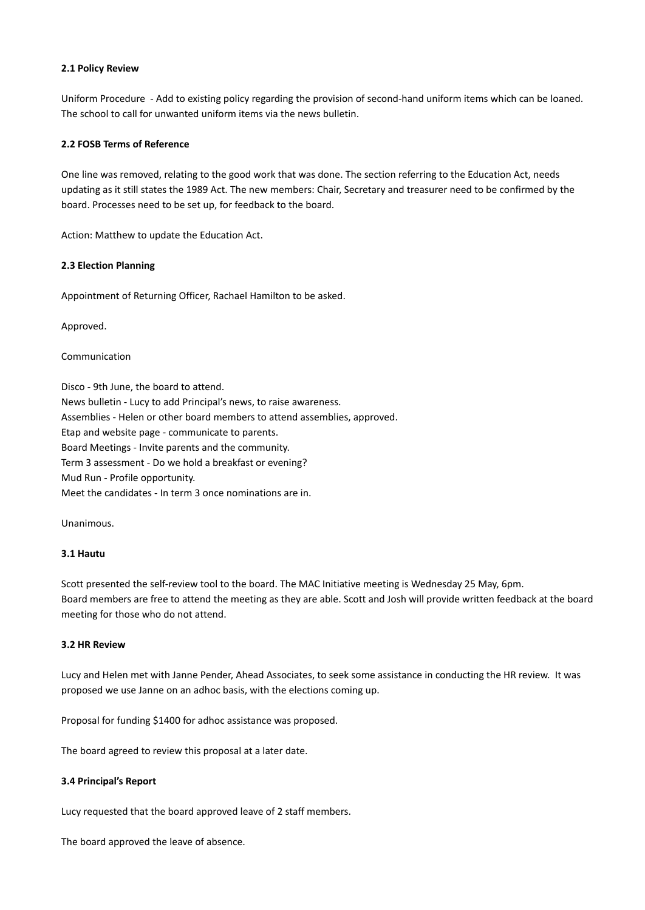#### **2.1 Policy Review**

Uniform Procedure - Add to existing policy regarding the provision of second-hand uniform items which can be loaned. The school to call for unwanted uniform items via the news bulletin.

## **2.2 FOSB Terms of Reference**

One line was removed, relating to the good work that was done. The section referring to the Education Act, needs updating as it still states the 1989 Act. The new members: Chair, Secretary and treasurer need to be confirmed by the board. Processes need to be set up, for feedback to the board.

Action: Matthew to update the Education Act.

## **2.3 Election Planning**

Appointment of Returning Officer, Rachael Hamilton to be asked.

Approved.

Communication

Disco - 9th June, the board to attend. News bulletin - Lucy to add Principal's news, to raise awareness. Assemblies - Helen or other board members to attend assemblies, approved. Etap and website page - communicate to parents. Board Meetings - Invite parents and the community. Term 3 assessment - Do we hold a breakfast or evening? Mud Run - Profile opportunity. Meet the candidates - In term 3 once nominations are in.

**Unanimous** 

## **3.1 Hautu**

Scott presented the self-review tool to the board. The MAC Initiative meeting is Wednesday 25 May, 6pm. Board members are free to attend the meeting as they are able. Scott and Josh will provide written feedback at the board meeting for those who do not attend.

## **3.2 HR Review**

Lucy and Helen met with Janne Pender, Ahead Associates, to seek some assistance in conducting the HR review. It was proposed we use Janne on an adhoc basis, with the elections coming up.

Proposal for funding \$1400 for adhoc assistance was proposed.

The board agreed to review this proposal at a later date.

## **3.4 Principal's Report**

Lucy requested that the board approved leave of 2 staff members.

The board approved the leave of absence.